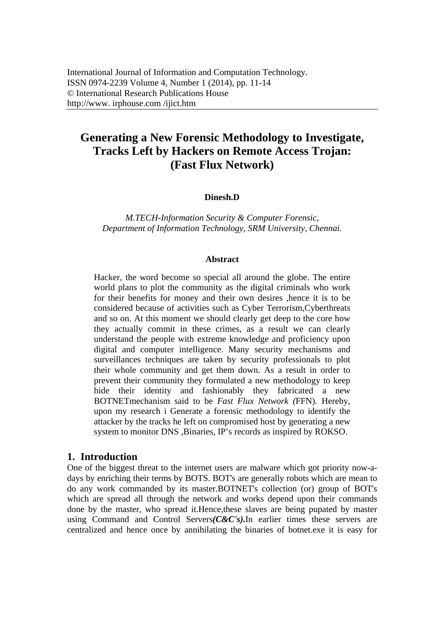# **Generating a New Forensic Methodology to Investigate, Tracks Left by Hackers on Remote Access Trojan: (Fast Flux Network)**

#### **Dinesh.D**

*M.TECH-Information Security & Computer Forensic, Department of Information Technology, SRM University, Chennai.*

#### **Abstract**

Hacker, the word become so special all around the globe. The entire world plans to plot the community as the digital criminals who work for their benefits for money and their own desires ,hence it is to be considered because of activities such as Cyber Terrorism,Cyberthreats and so on. At this moment we should clearly get deep to the core how they actually commit in these crimes, as a result we can clearly understand the people with extreme knowledge and proficiency upon digital and computer intelligence. Many security mechanisms and surveillances techniques are taken by security professionals to plot their whole community and get them down. As a result in order to prevent their community they formulated a new methodology to keep hide their identity and fashionably they fabricated a new BOTNETmechanism said to be *Fast Flux Network (*FFN)*.* Hereby, upon my research i Generate a forensic methodology to identify the attacker by the tracks he left on compromised host by generating a new system to monitor DNS ,Binaries, IP's records as inspired by ROKSO.

#### **1. Introduction**

One of the biggest threat to the internet users are malware which got priority now-adays by enriching their terms by BOTS. BOT's are generally robots which are mean to do any work commanded by its master.BOTNET's collection (or) group of BOT's which are spread all through the network and works depend upon their commands done by the master, who spread it.Hence,these slaves are being pupated by master using Command and Control Servers*(C&C's).*In earlier times these servers are centralized and hence once by annihilating the binaries of botnet.exe it is easy for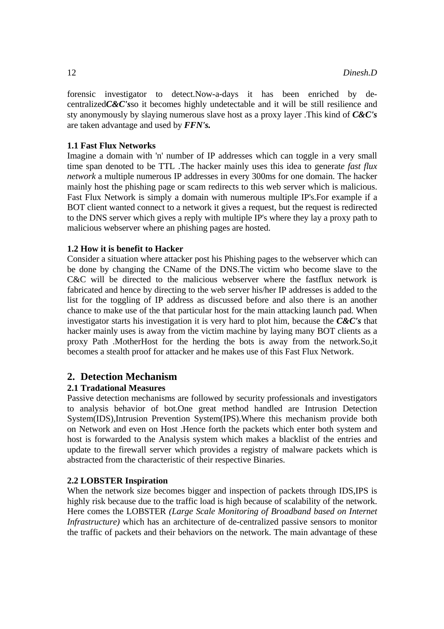forensic investigator to detect.Now-a-days it has been enriched by decentralized*C&C's*so it becomes highly undetectable and it will be still resilience and sty anonymously by slaying numerous slave host as a proxy layer .This kind of *C&C's*  are taken advantage and used by *FFN's.* 

#### **1.1 Fast Flux Networks**

Imagine a domain with 'n' number of IP addresses which can toggle in a very small time span denoted to be TTL .The hacker mainly uses this idea to generat*e fast flux network* a multiple numerous IP addresses in every 300ms for one domain. The hacker mainly host the phishing page or scam redirects to this web server which is malicious. Fast Flux Network is simply a domain with numerous multiple IP's.For example if a BOT client wanted connect to a network it gives a request, but the request is redirected to the DNS server which gives a reply with multiple IP's where they lay a proxy path to malicious webserver where an phishing pages are hosted.

#### **1.2 How it is benefit to Hacker**

Consider a situation where attacker post his Phishing pages to the webserver which can be done by changing the CName of the DNS.The victim who become slave to the C&C will be directed to the malicious webserver where the fastflux network is fabricated and hence by directing to the web server his/her IP addresses is added to the list for the toggling of IP address as discussed before and also there is an another chance to make use of the that particular host for the main attacking launch pad. When investigator starts his investigation it is very hard to plot him, because the *C&C's* that hacker mainly uses is away from the victim machine by laying many BOT clients as a proxy Path .MotherHost for the herding the bots is away from the network.So,it becomes a stealth proof for attacker and he makes use of this Fast Flux Network.

#### **2. Detection Mechanism**

#### **2.1 Tradational Measures**

Passive detection mechanisms are followed by security professionals and investigators to analysis behavior of bot.One great method handled are Intrusion Detection System(IDS),Intrusion Prevention System(IPS).Where this mechanism provide both on Network and even on Host .Hence forth the packets which enter both system and host is forwarded to the Analysis system which makes a blacklist of the entries and update to the firewall server which provides a registry of malware packets which is abstracted from the characteristic of their respective Binaries.

#### **2.2 LOBSTER Inspiration**

When the network size becomes bigger and inspection of packets through IDS,IPS is highly risk because due to the traffic load is high because of scalability of the network. Here comes the LOBSTER *(Large Scale Monitoring of Broadband based on Internet Infrastructure*) which has an architecture of de-centralized passive sensors to monitor the traffic of packets and their behaviors on the network. The main advantage of these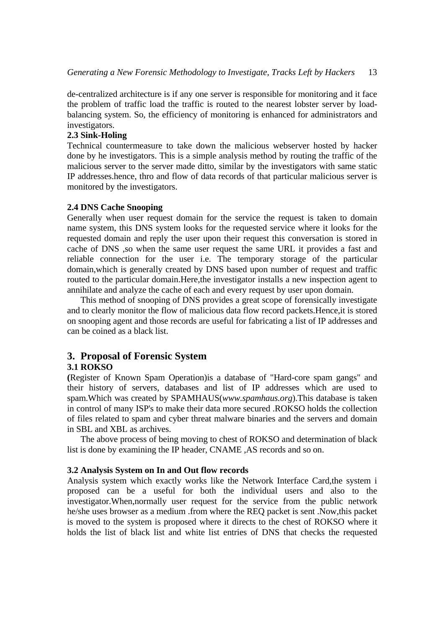de-centralized architecture is if any one server is responsible for monitoring and it face the problem of traffic load the traffic is routed to the nearest lobster server by loadbalancing system. So, the efficiency of monitoring is enhanced for administrators and investigators.

#### **2.3 Sink-Holing**

Technical countermeasure to take down the malicious webserver hosted by hacker done by he investigators. This is a simple analysis method by routing the traffic of the malicious server to the server made ditto, similar by the investigators with same static IP addresses.hence, thro and flow of data records of that particular malicious server is monitored by the investigators.

#### **2.4 DNS Cache Snooping**

Generally when user request domain for the service the request is taken to domain name system, this DNS system looks for the requested service where it looks for the requested domain and reply the user upon their request this conversation is stored in cache of DNS ,so when the same user request the same URL it provides a fast and reliable connection for the user i.e. The temporary storage of the particular domain,which is generally created by DNS based upon number of request and traffic routed to the particular domain.Here,the investigator installs a new inspection agent to annihilate and analyze the cache of each and every request by user upon domain.

This method of snooping of DNS provides a great scope of forensically investigate and to clearly monitor the flow of malicious data flow record packets.Hence,it is stored on snooping agent and those records are useful for fabricating a list of IP addresses and can be coined as a black list.

# **3. Proposal of Forensic System**

#### **3.1 ROKSO**

**(**Register of Known Spam Operation)is a database of "Hard-core spam gangs" and their history of servers, databases and list of IP addresses which are used to spam.Which was created by SPAMHAUS(*www.spamhaus.org*).This database is taken in control of many ISP's to make their data more secured .ROKSO holds the collection of files related to spam and cyber threat malware binaries and the servers and domain in SBL and XBL as archives.

The above process of being moving to chest of ROKSO and determination of black list is done by examining the IP header, CNAME ,AS records and so on.

#### **3.2 Analysis System on In and Out flow records**

Analysis system which exactly works like the Network Interface Card,the system i proposed can be a useful for both the individual users and also to the investigator.When,normally user request for the service from the public network he/she uses browser as a medium .from where the REQ packet is sent .Now,this packet is moved to the system is proposed where it directs to the chest of ROKSO where it holds the list of black list and white list entries of DNS that checks the requested